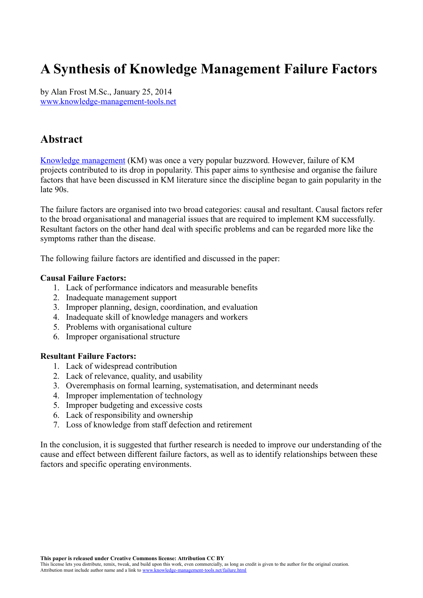# **A Synthesis of Knowledge Management Failure Factors**

by Alan Frost M.Sc., January 25, 2014 [www.knowledge-management-tools.net](http://www.knowledge-management-tools.net/)

### **Abstract**

[Knowledge management](http://www.knowledge-management-tools.net/knowledge-management.html) (KM) was once a very popular buzzword. However, failure of KM projects contributed to its drop in popularity. This paper aims to synthesise and organise the failure factors that have been discussed in KM literature since the discipline began to gain popularity in the late 90s.

The failure factors are organised into two broad categories: causal and resultant. Causal factors refer to the broad organisational and managerial issues that are required to implement KM successfully. Resultant factors on the other hand deal with specific problems and can be regarded more like the symptoms rather than the disease.

The following failure factors are identified and discussed in the paper:

#### **Causal Failure Factors:**

- 1. Lack of performance indicators and measurable benefits
- 2. Inadequate management support
- 3. Improper planning, design, coordination, and evaluation
- 4. Inadequate skill of knowledge managers and workers
- 5. Problems with organisational culture
- 6. Improper organisational structure

#### **Resultant Failure Factors:**

- 1. Lack of widespread contribution
- 2. Lack of relevance, quality, and usability
- 3. Overemphasis on formal learning, systematisation, and determinant needs
- 4. Improper implementation of technology
- 5. Improper budgeting and excessive costs
- 6. Lack of responsibility and ownership
- 7. Loss of knowledge from staff defection and retirement

In the conclusion, it is suggested that further research is needed to improve our understanding of the cause and effect between different failure factors, as well as to identify relationships between these factors and specific operating environments.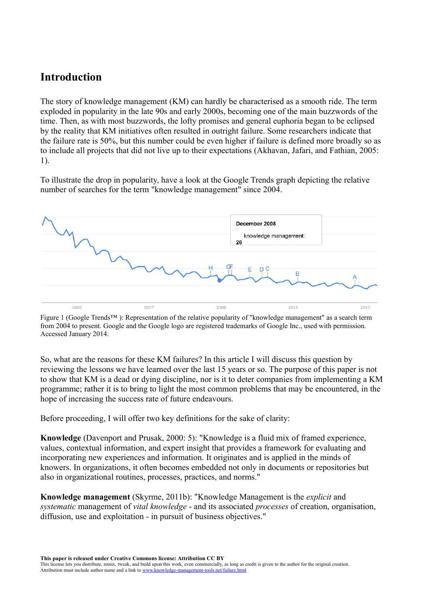## **Introduction**

The story of knowledge management (KM) can hardly be characterised as a smooth ride. The term exploded in popularity in the late 90s and early 2000s, becoming one of the main buzzwords of the time. Then, as with most buzzwords, the lofty promises and general euphoria began to be eclipsed by the reality that KM initiatives often resulted in outright failure. Some researchers indicate that the failure rate is 50%, but this number could be even higher if failure is defined more broadly so as to include all projects that did not live up to their expectations (Akhavan, Jafari, and Fathian, 2005: 1).

To illustrate the drop in popularity, have a look at the Google Trends graph depicting the relative number of searches for the term "knowledge management" since 2004.



Figure 1 (Google Trends™ ): Representation of the relative popularity of "knowledge management" as a search term from 2004 to present. Google and the Google logo are registered trademarks of Google Inc., used with permission. Accessed January 2014.

So, what are the reasons for these KM failures? In this article I will discuss this question by reviewing the lessons we have learned over the last 15 years or so. The purpose of this paper is not to show that KM is a dead or dying discipline, nor is it to deter companies from implementing a KM programme; rather it is to bring to light the most common problems that may be encountered, in the hope of increasing the success rate of future endeavours.

Before proceeding, I will offer two key definitions for the sake of clarity:

**Knowledge** (Davenport and Prusak, 2000: 5): "Knowledge is a fluid mix of framed experience, values, contextual information, and expert insight that provides a framework for evaluating and incorporating new experiences and information. It originates and is applied in the minds of knowers. In organizations, it often becomes embedded not only in documents or repositories but also in organizational routines, processes, practices, and norms."

**Knowledge management** (Skyrme, 2011b): "Knowledge Management is the *explicit* and *systematic* management of *vital knowledge* - and its associated *processes* of creation, organisation, diffusion, use and exploitation - in pursuit of business objectives."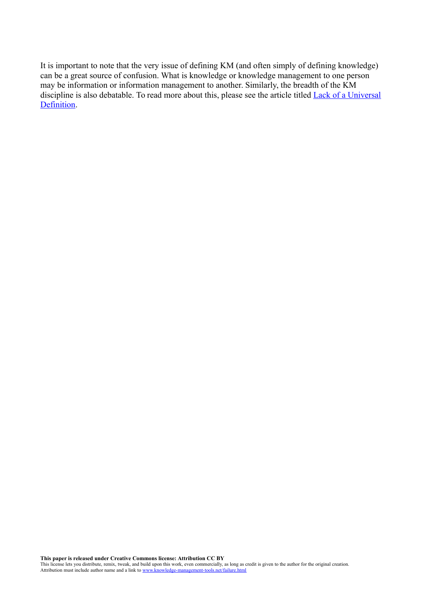It is important to note that the very issue of defining KM (and often simply of defining knowledge) can be a great source of confusion. What is knowledge or knowledge management to one person may be information or information management to another. Similarly, the breadth of the KM discipline is also debatable. To read more about this, please see the article titled [Lack of a Universal](http://www.knowledge-management-tools.net/nodefinition.html) [Definition.](http://www.knowledge-management-tools.net/nodefinition.html)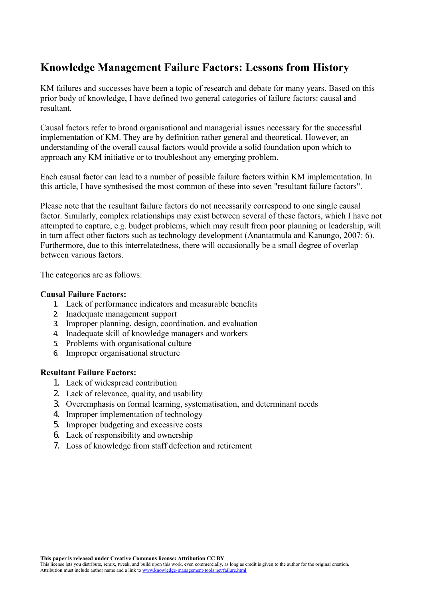## **Knowledge Management Failure Factors: Lessons from History**

KM failures and successes have been a topic of research and debate for many years. Based on this prior body of knowledge, I have defined two general categories of failure factors: causal and resultant.

Causal factors refer to broad organisational and managerial issues necessary for the successful implementation of KM. They are by definition rather general and theoretical. However, an understanding of the overall causal factors would provide a solid foundation upon which to approach any KM initiative or to troubleshoot any emerging problem.

Each causal factor can lead to a number of possible failure factors within KM implementation. In this article, I have synthesised the most common of these into seven "resultant failure factors".

Please note that the resultant failure factors do not necessarily correspond to one single causal factor. Similarly, complex relationships may exist between several of these factors, which I have not attempted to capture, e.g. budget problems, which may result from poor planning or leadership, will in turn affect other factors such as technology development (Anantatmula and Kanungo, 2007: 6). Furthermore, due to this interrelatedness, there will occasionally be a small degree of overlap between various factors.

The categories are as follows:

#### **Causal Failure Factors:**

- 1. Lack of performance indicators and measurable benefits
- 2. Inadequate management support
- 3. Improper planning, design, coordination, and evaluation
- 4. Inadequate skill of knowledge managers and workers
- 5. Problems with organisational culture
- 6. Improper organisational structure

#### **Resultant Failure Factors:**

- 1. Lack of widespread contribution
- 2. Lack of relevance, quality, and usability
- 3. Overemphasis on formal learning, systematisation, and determinant needs
- 4. Improper implementation of technology
- 5. Improper budgeting and excessive costs
- 6. Lack of responsibility and ownership
- 7. Loss of knowledge from staff defection and retirement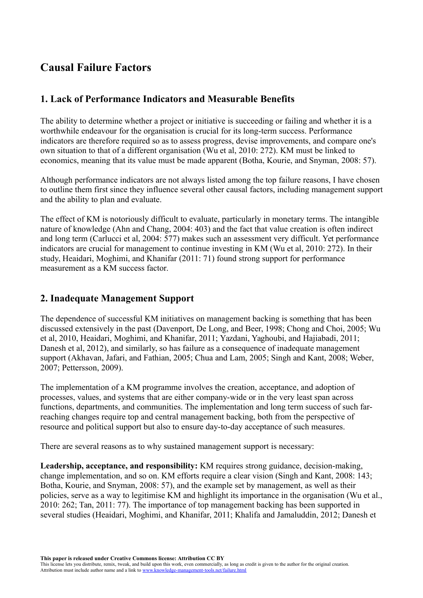## **Causal Failure Factors**

### **1. Lack of Performance Indicators and Measurable Benefits**

The ability to determine whether a project or initiative is succeeding or failing and whether it is a worthwhile endeavour for the organisation is crucial for its long-term success. Performance indicators are therefore required so as to assess progress, devise improvements, and compare one's own situation to that of a different organisation (Wu et al, 2010: 272). KM must be linked to economics, meaning that its value must be made apparent (Botha, Kourie, and Snyman, 2008: 57).

Although performance indicators are not always listed among the top failure reasons, I have chosen to outline them first since they influence several other causal factors, including management support and the ability to plan and evaluate.

The effect of KM is notoriously difficult to evaluate, particularly in monetary terms. The intangible nature of knowledge (Ahn and Chang, 2004: 403) and the fact that value creation is often indirect and long term (Carlucci et al, 2004: 577) makes such an assessment very difficult. Yet performance indicators are crucial for management to continue investing in KM (Wu et al, 2010: 272). In their study, Heaidari, Moghimi, and Khanifar (2011: 71) found strong support for performance measurement as a KM success factor.

### **2. Inadequate Management Support**

The dependence of successful KM initiatives on management backing is something that has been discussed extensively in the past (Davenport, De Long, and Beer, 1998; Chong and Choi, 2005; Wu et al, 2010, Heaidari, Moghimi, and Khanifar, 2011; Yazdani, Yaghoubi, and Hajiabadi, 2011; Danesh et al, 2012), and similarly, so has failure as a consequence of inadequate management support (Akhavan, Jafari, and Fathian, 2005; Chua and Lam, 2005; Singh and Kant, 2008; Weber, 2007; Pettersson, 2009).

The implementation of a KM programme involves the creation, acceptance, and adoption of processes, values, and systems that are either company-wide or in the very least span across functions, departments, and communities. The implementation and long term success of such farreaching changes require top and central management backing, both from the perspective of resource and political support but also to ensure day-to-day acceptance of such measures.

There are several reasons as to why sustained management support is necessary:

**Leadership, acceptance, and responsibility:** KM requires strong guidance, decision-making, change implementation, and so on. KM efforts require a clear vision (Singh and Kant, 2008: 143; Botha, Kourie, and Snyman, 2008: 57), and the example set by management, as well as their policies, serve as a way to legitimise KM and highlight its importance in the organisation (Wu et al., 2010: 262; Tan, 2011: 77). The importance of top management backing has been supported in several studies (Heaidari, Moghimi, and Khanifar, 2011; Khalifa and Jamaluddin, 2012; Danesh et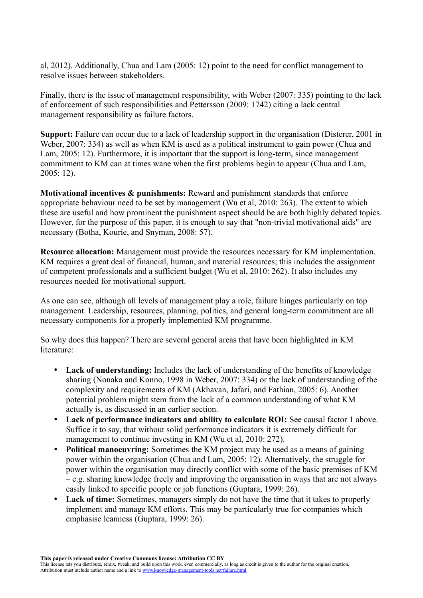al, 2012). Additionally, Chua and Lam (2005: 12) point to the need for conflict management to resolve issues between stakeholders.

Finally, there is the issue of management responsibility, with Weber (2007: 335) pointing to the lack of enforcement of such responsibilities and Pettersson (2009: 1742) citing a lack central management responsibility as failure factors.

**Support:** Failure can occur due to a lack of leadership support in the organisation (Disterer, 2001 in Weber, 2007: 334) as well as when KM is used as a political instrument to gain power (Chua and Lam, 2005: 12). Furthermore, it is important that the support is long-term, since management commitment to KM can at times wane when the first problems begin to appear (Chua and Lam, 2005: 12).

**Motivational incentives & punishments:** Reward and punishment standards that enforce appropriate behaviour need to be set by management (Wu et al, 2010: 263). The extent to which these are useful and how prominent the punishment aspect should be are both highly debated topics. However, for the purpose of this paper, it is enough to say that "non-trivial motivational aids" are necessary (Botha, Kourie, and Snyman, 2008: 57).

**Resource allocation:** Management must provide the resources necessary for KM implementation. KM requires a great deal of financial, human, and material resources; this includes the assignment of competent professionals and a sufficient budget (Wu et al, 2010: 262). It also includes any resources needed for motivational support.

As one can see, although all levels of management play a role, failure hinges particularly on top management. Leadership, resources, planning, politics, and general long-term commitment are all necessary components for a properly implemented KM programme.

So why does this happen? There are several general areas that have been highlighted in KM literature<sup>.</sup>

- Lack of understanding: Includes the lack of understanding of the benefits of knowledge sharing (Nonaka and Konno, 1998 in Weber, 2007: 334) or the lack of understanding of the complexity and requirements of KM (Akhavan, Jafari, and Fathian, 2005: 6). Another potential problem might stem from the lack of a common understanding of what KM actually is, as discussed in an earlier section.
- **Lack of performance indicators and ability to calculate ROI:** See causal factor 1 above. Suffice it to say, that without solid performance indicators it is extremely difficult for management to continue investing in KM (Wu et al, 2010: 272).
- **Political manoeuvring:** Sometimes the KM project may be used as a means of gaining power within the organisation (Chua and Lam, 2005: 12). Alternatively, the struggle for power within the organisation may directly conflict with some of the basic premises of KM – e.g. sharing knowledge freely and improving the organisation in ways that are not always easily linked to specific people or job functions (Guptara, 1999: 26).
- Lack of time: Sometimes, managers simply do not have the time that it takes to properly implement and manage KM efforts. This may be particularly true for companies which emphasise leanness (Guptara, 1999: 26).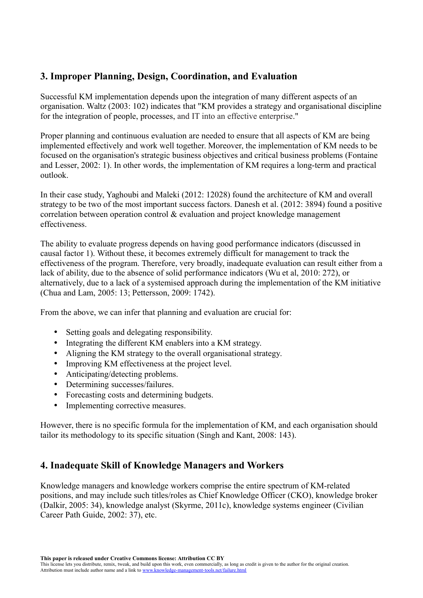### **3. Improper Planning, Design, Coordination, and Evaluation**

Successful KM implementation depends upon the integration of many different aspects of an organisation. Waltz (2003: 102) indicates that "KM provides a strategy and organisational discipline for the integration of people, processes, and IT into an effective enterprise."

Proper planning and continuous evaluation are needed to ensure that all aspects of KM are being implemented effectively and work well together. Moreover, the implementation of KM needs to be focused on the organisation's strategic business objectives and critical business problems (Fontaine and Lesser, 2002: 1). In other words, the implementation of KM requires a long-term and practical outlook.

In their case study, Yaghoubi and Maleki (2012: 12028) found the architecture of KM and overall strategy to be two of the most important success factors. Danesh et al. (2012: 3894) found a positive correlation between operation control & evaluation and project knowledge management effectiveness.

The ability to evaluate progress depends on having good performance indicators (discussed in causal factor 1). Without these, it becomes extremely difficult for management to track the effectiveness of the program. Therefore, very broadly, inadequate evaluation can result either from a lack of ability, due to the absence of solid performance indicators (Wu et al, 2010: 272), or alternatively, due to a lack of a systemised approach during the implementation of the KM initiative (Chua and Lam, 2005: 13; Pettersson, 2009: 1742).

From the above, we can infer that planning and evaluation are crucial for:

- Setting goals and delegating responsibility.
- Integrating the different KM enablers into a KM strategy.
- Aligning the KM strategy to the overall organisational strategy.
- Improving KM effectiveness at the project level.
- Anticipating/detecting problems.
- Determining successes/failures.
- Forecasting costs and determining budgets.
- Implementing corrective measures.

However, there is no specific formula for the implementation of KM, and each organisation should tailor its methodology to its specific situation (Singh and Kant, 2008: 143).

### **4. Inadequate Skill of Knowledge Managers and Workers**

Knowledge managers and knowledge workers comprise the entire spectrum of KM-related positions, and may include such titles/roles as Chief Knowledge Officer (CKO), knowledge broker (Dalkir, 2005: 34), knowledge analyst (Skyrme, 2011c), knowledge systems engineer (Civilian Career Path Guide, 2002: 37), etc.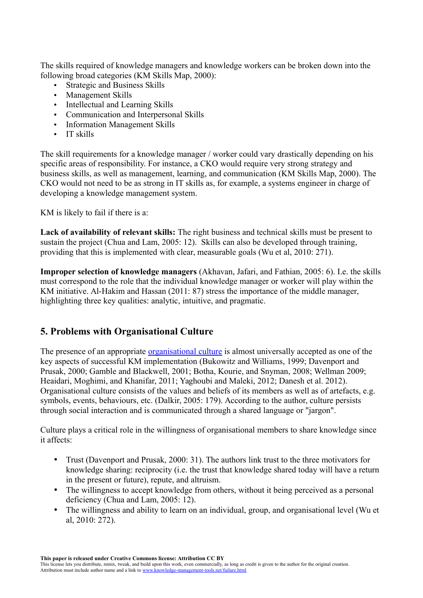The skills required of knowledge managers and knowledge workers can be broken down into the following broad categories (KM Skills Map, 2000):

- Strategic and Business Skills
- Management Skills
- Intellectual and Learning Skills
- Communication and Interpersonal Skills
- Information Management Skills
- IT skills

The skill requirements for a knowledge manager / worker could vary drastically depending on his specific areas of responsibility. For instance, a CKO would require very strong strategy and business skills, as well as management, learning, and communication (KM Skills Map, 2000). The CKO would not need to be as strong in IT skills as, for example, a systems engineer in charge of developing a knowledge management system.

KM is likely to fail if there is a:

**Lack of availability of relevant skills:** The right business and technical skills must be present to sustain the project (Chua and Lam, 2005: 12). Skills can also be developed through training, providing that this is implemented with clear, measurable goals (Wu et al, 2010: 271).

**Improper selection of knowledge managers** (Akhavan, Jafari, and Fathian, 2005: 6). I.e. the skills must correspond to the role that the individual knowledge manager or worker will play within the KM initiative. Al-Hakim and Hassan (2011: 87) stress the importance of the middle manager, highlighting three key qualities: analytic, intuitive, and pragmatic.

### **5. Problems with Organisational Culture**

The presence of an appropriate [organisational culture](http://www.knowledge-management-tools.net/organizational-culture.html) is almost universally accepted as one of the key aspects of successful KM implementation (Bukowitz and Williams, 1999; Davenport and Prusak, 2000; Gamble and Blackwell, 2001; Botha, Kourie, and Snyman, 2008; Wellman 2009; Heaidari, Moghimi, and Khanifar, 2011; Yaghoubi and Maleki, 2012; Danesh et al. 2012). Organisational culture consists of the values and beliefs of its members as well as of artefacts, e.g. symbols, events, behaviours, etc. (Dalkir, 2005: 179). According to the author, culture persists through social interaction and is communicated through a shared language or "jargon".

Culture plays a critical role in the willingness of organisational members to share knowledge since it affects:

- Trust (Davenport and Prusak, 2000: 31). The authors link trust to the three motivators for knowledge sharing: reciprocity (i.e. the trust that knowledge shared today will have a return in the present or future), repute, and altruism.
- The willingness to accept knowledge from others, without it being perceived as a personal deficiency (Chua and Lam, 2005: 12).
- The willingness and ability to learn on an individual, group, and organisational level (Wu et al, 2010: 272).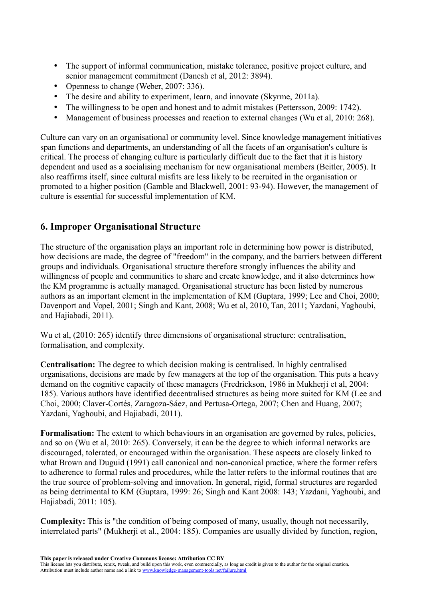- The support of informal communication, mistake tolerance, positive project culture, and senior management commitment (Danesh et al, 2012: 3894).
- Openness to change (Weber, 2007: 336).
- The desire and ability to experiment, learn, and innovate (Skyrme, 2011a).
- The willingness to be open and honest and to admit mistakes (Pettersson, 2009: 1742).
- Management of business processes and reaction to external changes (Wu et al, 2010: 268).

Culture can vary on an organisational or community level. Since knowledge management initiatives span functions and departments, an understanding of all the facets of an organisation's culture is critical. The process of changing culture is particularly difficult due to the fact that it is history dependent and used as a socialising mechanism for new organisational members (Beitler, 2005). It also reaffirms itself, since cultural misfits are less likely to be recruited in the organisation or promoted to a higher position (Gamble and Blackwell, 2001: 93-94). However, the management of culture is essential for successful implementation of KM.

### **6. Improper Organisational Structure**

The structure of the organisation plays an important role in determining how power is distributed, how decisions are made, the degree of "freedom" in the company, and the barriers between different groups and individuals. Organisational structure therefore strongly influences the ability and willingness of people and communities to share and create knowledge, and it also determines how the KM programme is actually managed. Organisational structure has been listed by numerous authors as an important element in the implementation of KM (Guptara, 1999; Lee and Choi, 2000; Davenport and Vopel, 2001; Singh and Kant, 2008; Wu et al, 2010, Tan, 2011; Yazdani, Yaghoubi, and Hajiabadi, 2011).

Wu et al. (2010: 265) identify three dimensions of organisational structure: centralisation, formalisation, and complexity.

**Centralisation:** The degree to which decision making is centralised. In highly centralised organisations, decisions are made by few managers at the top of the organisation. This puts a heavy demand on the cognitive capacity of these managers (Fredrickson, 1986 in Mukherji et al, 2004: 185). Various authors have identified decentralised structures as being more suited for KM (Lee and Choi, 2000; Claver-Cortés, Zaragoza-Sáez, and Pertusa-Ortega, 2007; Chen and Huang, 2007; Yazdani, Yaghoubi, and Hajiabadi, 2011).

**Formalisation:** The extent to which behaviours in an organisation are governed by rules, policies, and so on (Wu et al, 2010: 265). Conversely, it can be the degree to which informal networks are discouraged, tolerated, or encouraged within the organisation. These aspects are closely linked to what Brown and Duguid (1991) call canonical and non-canonical practice, where the former refers to adherence to formal rules and procedures, while the latter refers to the informal routines that are the true source of problem-solving and innovation. In general, rigid, formal structures are regarded as being detrimental to KM (Guptara, 1999: 26; Singh and Kant 2008: 143; Yazdani, Yaghoubi, and Hajiabadi, 2011: 105).

**Complexity:** This is "the condition of being composed of many, usually, though not necessarily, interrelated parts" (Mukherji et al., 2004: 185). Companies are usually divided by function, region,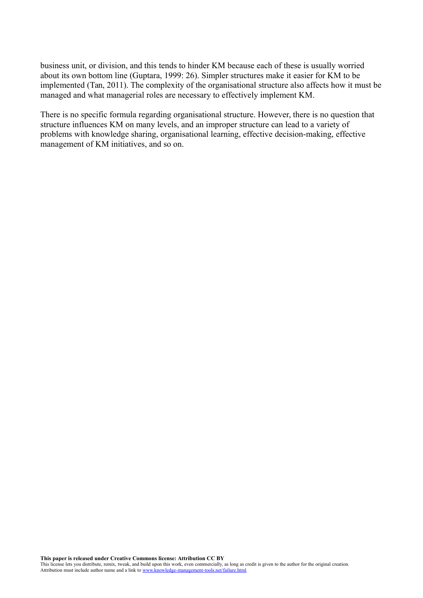business unit, or division, and this tends to hinder KM because each of these is usually worried about its own bottom line (Guptara, 1999: 26). Simpler structures make it easier for KM to be implemented (Tan, 2011). The complexity of the organisational structure also affects how it must be managed and what managerial roles are necessary to effectively implement KM.

There is no specific formula regarding organisational structure. However, there is no question that structure influences KM on many levels, and an improper structure can lead to a variety of problems with knowledge sharing, organisational learning, effective decision-making, effective management of KM initiatives, and so on.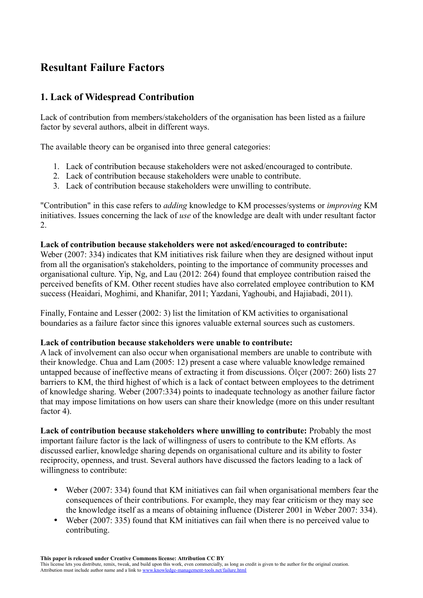## **Resultant Failure Factors**

### **1. Lack of Widespread Contribution**

Lack of contribution from members/stakeholders of the organisation has been listed as a failure factor by several authors, albeit in different ways.

The available theory can be organised into three general categories:

- 1. Lack of contribution because stakeholders were not asked/encouraged to contribute.
- 2. Lack of contribution because stakeholders were unable to contribute.
- 3. Lack of contribution because stakeholders were unwilling to contribute.

"Contribution" in this case refers to *adding* knowledge to KM processes/systems or *improving* KM initiatives. Issues concerning the lack of *use* of the knowledge are dealt with under resultant factor 2.

#### **Lack of contribution because stakeholders were not asked/encouraged to contribute:**

Weber (2007: 334) indicates that KM initiatives risk failure when they are designed without input from all the organisation's stakeholders, pointing to the importance of community processes and organisational culture. Yip, Ng, and Lau (2012: 264) found that employee contribution raised the perceived benefits of KM. Other recent studies have also correlated employee contribution to KM success (Heaidari, Moghimi, and Khanifar, 2011; Yazdani, Yaghoubi, and Hajiabadi, 2011).

Finally, Fontaine and Lesser (2002: 3) list the limitation of KM activities to organisational boundaries as a failure factor since this ignores valuable external sources such as customers.

#### **Lack of contribution because stakeholders were unable to contribute:**

A lack of involvement can also occur when organisational members are unable to contribute with their knowledge. Chua and Lam (2005: 12) present a case where valuable knowledge remained untapped because of ineffective means of extracting it from discussions. Ölçer (2007: 260) lists 27 barriers to KM, the third highest of which is a lack of contact between employees to the detriment of knowledge sharing. Weber (2007:334) points to inadequate technology as another failure factor that may impose limitations on how users can share their knowledge (more on this under resultant factor 4).

**Lack of contribution because stakeholders where unwilling to contribute:** Probably the most important failure factor is the lack of willingness of users to contribute to the KM efforts. As discussed earlier, knowledge sharing depends on organisational culture and its ability to foster reciprocity, openness, and trust. Several authors have discussed the factors leading to a lack of willingness to contribute:

- Weber (2007: 334) found that KM initiatives can fail when organisational members fear the consequences of their contributions. For example, they may fear criticism or they may see the knowledge itself as a means of obtaining influence (Disterer 2001 in Weber 2007: 334).
- Weber (2007: 335) found that KM initiatives can fail when there is no perceived value to contributing.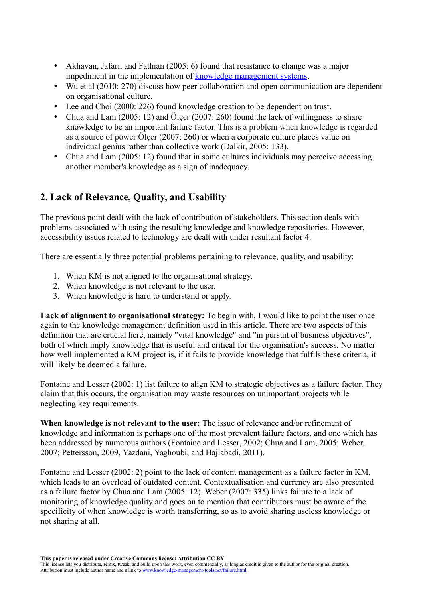- Akhavan, Jafari, and Fathian (2005: 6) found that resistance to change was a major impediment in the implementation of [knowledge management systems.](http://www.knowledge-management-tools.net/knowledge-management-systems.html)
- Wu et al (2010: 270) discuss how peer collaboration and open communication are dependent on organisational culture.
- Lee and Choi (2000: 226) found knowledge creation to be dependent on trust.
- Chua and Lam  $(2005: 12)$  and Ölcer  $(2007: 260)$  found the lack of willingness to share knowledge to be an important failure factor. This is a problem when knowledge is regarded as a source of power Ölçer (2007: 260) or when a corporate culture places value on individual genius rather than collective work (Dalkir, 2005: 133).
- Chua and Lam (2005: 12) found that in some cultures individuals may perceive accessing another member's knowledge as a sign of inadequacy.

### **2. Lack of Relevance, Quality, and Usability**

The previous point dealt with the lack of contribution of stakeholders. This section deals with problems associated with using the resulting knowledge and knowledge repositories. However, accessibility issues related to technology are dealt with under resultant factor 4.

There are essentially three potential problems pertaining to relevance, quality, and usability:

- 1. When KM is not aligned to the organisational strategy.
- 2. When knowledge is not relevant to the user.
- 3. When knowledge is hard to understand or apply.

**Lack of alignment to organisational strategy:** To begin with, I would like to point the user once again to the knowledge management definition used in this article. There are two aspects of this definition that are crucial here, namely "vital knowledge" and "in pursuit of business objectives", both of which imply knowledge that is useful and critical for the organisation's success. No matter how well implemented a KM project is, if it fails to provide knowledge that fulfils these criteria, it will likely be deemed a failure.

Fontaine and Lesser (2002: 1) list failure to align KM to strategic objectives as a failure factor. They claim that this occurs, the organisation may waste resources on unimportant projects while neglecting key requirements.

**When knowledge is not relevant to the user:** The issue of relevance and/or refinement of knowledge and information is perhaps one of the most prevalent failure factors, and one which has been addressed by numerous authors (Fontaine and Lesser, 2002; Chua and Lam, 2005; Weber, 2007; Pettersson, 2009, Yazdani, Yaghoubi, and Hajiabadi, 2011).

Fontaine and Lesser (2002: 2) point to the lack of content management as a failure factor in KM, which leads to an overload of outdated content. Contextualisation and currency are also presented as a failure factor by Chua and Lam (2005: 12). Weber (2007: 335) links failure to a lack of monitoring of knowledge quality and goes on to mention that contributors must be aware of the specificity of when knowledge is worth transferring, so as to avoid sharing useless knowledge or not sharing at all.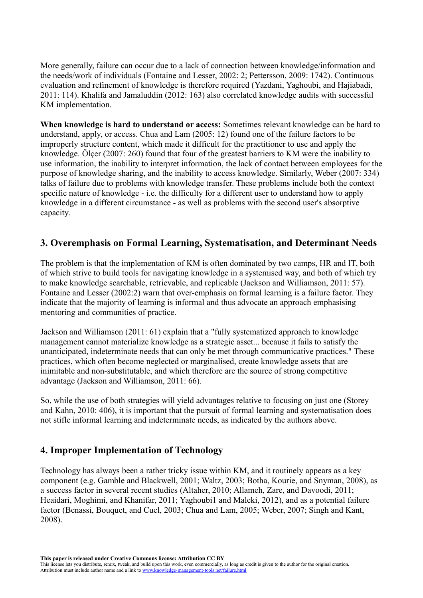More generally, failure can occur due to a lack of connection between knowledge/information and the needs/work of individuals (Fontaine and Lesser, 2002: 2; Pettersson, 2009: 1742). Continuous evaluation and refinement of knowledge is therefore required (Yazdani, Yaghoubi, and Hajiabadi, 2011: 114). Khalifa and Jamaluddin (2012: 163) also correlated knowledge audits with successful KM implementation.

**When knowledge is hard to understand or access:** Sometimes relevant knowledge can be hard to understand, apply, or access. Chua and Lam (2005: 12) found one of the failure factors to be improperly structure content, which made it difficult for the practitioner to use and apply the knowledge. Ölçer (2007: 260) found that four of the greatest barriers to KM were the inability to use information, the inability to interpret information, the lack of contact between employees for the purpose of knowledge sharing, and the inability to access knowledge. Similarly, Weber (2007: 334) talks of failure due to problems with knowledge transfer. These problems include both the context specific nature of knowledge - i.e. the difficulty for a different user to understand how to apply knowledge in a different circumstance - as well as problems with the second user's absorptive capacity.

### **3. Overemphasis on Formal Learning, Systematisation, and Determinant Needs**

The problem is that the implementation of KM is often dominated by two camps, HR and IT, both of which strive to build tools for navigating knowledge in a systemised way, and both of which try to make knowledge searchable, retrievable, and replicable (Jackson and Williamson, 2011: 57). Fontaine and Lesser (2002:2) warn that over-emphasis on formal learning is a failure factor. They indicate that the majority of learning is informal and thus advocate an approach emphasising mentoring and communities of practice.

Jackson and Williamson (2011: 61) explain that a "fully systematized approach to knowledge management cannot materialize knowledge as a strategic asset... because it fails to satisfy the unanticipated, indeterminate needs that can only be met through communicative practices." These practices, which often become neglected or marginalised, create knowledge assets that are inimitable and non-substitutable, and which therefore are the source of strong competitive advantage (Jackson and Williamson, 2011: 66).

So, while the use of both strategies will yield advantages relative to focusing on just one (Storey and Kahn, 2010: 406), it is important that the pursuit of formal learning and systematisation does not stifle informal learning and indeterminate needs, as indicated by the authors above.

### **4. Improper Implementation of Technology**

Technology has always been a rather tricky issue within KM, and it routinely appears as a key component (e.g. Gamble and Blackwell, 2001; Waltz, 2003; Botha, Kourie, and Snyman, 2008), as a success factor in several recent studies (Altaher, 2010; Allameh, Zare, and Davoodi, 2011; Heaidari, Moghimi, and Khanifar, 2011; Yaghoubi1 and Maleki, 2012), and as a potential failure factor (Benassi, Bouquet, and Cuel, 2003; Chua and Lam, 2005; Weber, 2007; Singh and Kant, 2008).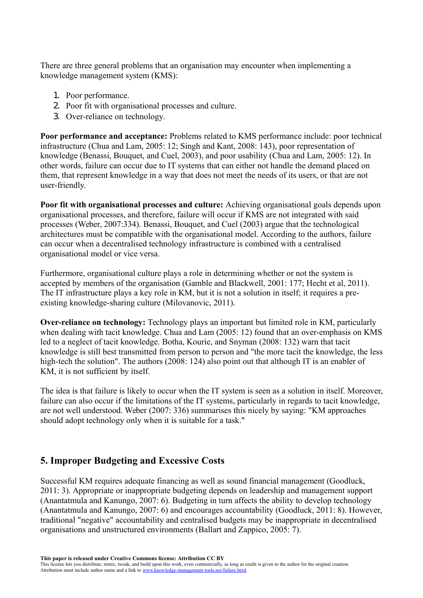There are three general problems that an organisation may encounter when implementing a knowledge management system (KMS):

- 1. Poor performance.
- 2. Poor fit with organisational processes and culture.
- 3. Over-reliance on technology.

**Poor performance and acceptance:** Problems related to KMS performance include: poor technical infrastructure (Chua and Lam, 2005: 12; Singh and Kant, 2008: 143), poor representation of knowledge (Benassi, Bouquet, and Cuel, 2003), and poor usability (Chua and Lam, 2005: 12). In other words, failure can occur due to IT systems that can either not handle the demand placed on them, that represent knowledge in a way that does not meet the needs of its users, or that are not user-friendly.

**Poor fit with organisational processes and culture:** Achieving organisational goals depends upon organisational processes, and therefore, failure will occur if KMS are not integrated with said processes (Weber, 2007:334). Benassi, Bouquet, and Cuel (2003) argue that the technological architectures must be compatible with the organisational model. According to the authors, failure can occur when a decentralised technology infrastructure is combined with a centralised organisational model or vice versa.

Furthermore, organisational culture plays a role in determining whether or not the system is accepted by members of the organisation (Gamble and Blackwell, 2001: 177; Hecht et al, 2011). The IT infrastructure plays a key role in KM, but it is not a solution in itself; it requires a preexisting knowledge-sharing culture (Milovanovic, 2011).

**Over-reliance on technology:** Technology plays an important but limited role in KM, particularly when dealing with tacit knowledge. Chua and Lam (2005: 12) found that an over-emphasis on KMS led to a neglect of tacit knowledge. Botha, Kourie, and Snyman (2008: 132) warn that tacit knowledge is still best transmitted from person to person and "the more tacit the knowledge, the less high-tech the solution". The authors (2008: 124) also point out that although IT is an enabler of KM, it is not sufficient by itself.

The idea is that failure is likely to occur when the IT system is seen as a solution in itself. Moreover, failure can also occur if the limitations of the IT systems, particularly in regards to tacit knowledge, are not well understood. Weber (2007: 336) summarises this nicely by saying: "KM approaches should adopt technology only when it is suitable for a task."

### **5. Improper Budgeting and Excessive Costs**

Successful KM requires adequate financing as well as sound financial management (Goodluck, 2011: 3). Appropriate or inappropriate budgeting depends on leadership and management support (Anantatmula and Kanungo, 2007: 6). Budgeting in turn affects the ability to develop technology (Anantatmula and Kanungo, 2007: 6) and encourages accountability (Goodluck, 2011: 8). However, traditional "negative" accountability and centralised budgets may be inappropriate in decentralised organisations and unstructured environments (Ballart and Zappico, 2005: 7).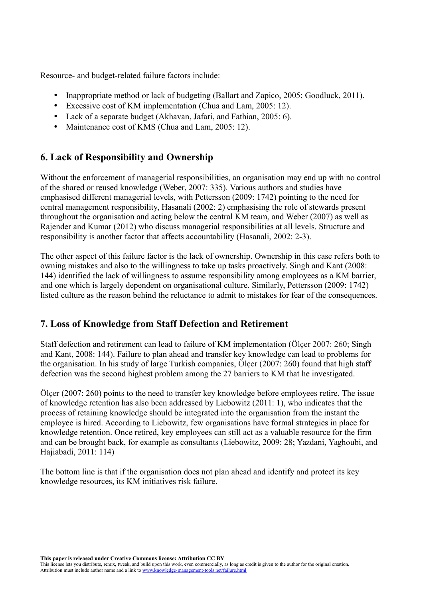Resource- and budget-related failure factors include:

- Inappropriate method or lack of budgeting (Ballart and Zapico, 2005; Goodluck, 2011).
- Excessive cost of KM implementation (Chua and Lam, 2005: 12).
- Lack of a separate budget (Akhavan, Jafari, and Fathian, 2005: 6).
- Maintenance cost of KMS (Chua and Lam, 2005: 12).

### **6. Lack of Responsibility and Ownership**

Without the enforcement of managerial responsibilities, an organisation may end up with no control of the shared or reused knowledge (Weber, 2007: 335). Various authors and studies have emphasised different managerial levels, with Pettersson (2009: 1742) pointing to the need for central management responsibility, Hasanali (2002: 2) emphasising the role of stewards present throughout the organisation and acting below the central KM team, and Weber (2007) as well as Rajender and Kumar (2012) who discuss managerial responsibilities at all levels. Structure and responsibility is another factor that affects accountability (Hasanali, 2002: 2-3).

The other aspect of this failure factor is the lack of ownership. Ownership in this case refers both to owning mistakes and also to the willingness to take up tasks proactively. Singh and Kant (2008: 144) identified the lack of willingness to assume responsibility among employees as a KM barrier, and one which is largely dependent on organisational culture. Similarly, Pettersson (2009: 1742) listed culture as the reason behind the reluctance to admit to mistakes for fear of the consequences.

### **7. Loss of Knowledge from Staff Defection and Retirement**

Staff defection and retirement can lead to failure of KM implementation (Ölçer 2007: 260; Singh and Kant, 2008: 144). Failure to plan ahead and transfer key knowledge can lead to problems for the organisation. In his study of large Turkish companies, Ölçer (2007: 260) found that high staff defection was the second highest problem among the 27 barriers to KM that he investigated.

Ölçer (2007: 260) points to the need to transfer key knowledge before employees retire. The issue of knowledge retention has also been addressed by Liebowitz (2011: 1), who indicates that the process of retaining knowledge should be integrated into the organisation from the instant the employee is hired. According to Liebowitz, few organisations have formal strategies in place for knowledge retention. Once retired, key employees can still act as a valuable resource for the firm and can be brought back, for example as consultants (Liebowitz, 2009: 28; Yazdani, Yaghoubi, and Hajiabadi, 2011: 114)

The bottom line is that if the organisation does not plan ahead and identify and protect its key knowledge resources, its KM initiatives risk failure.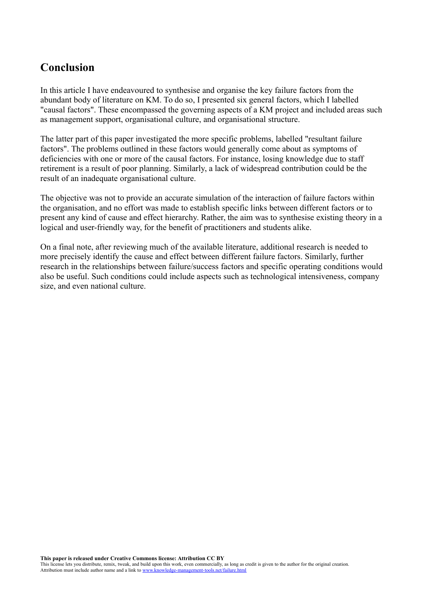## **Conclusion**

In this article I have endeavoured to synthesise and organise the key failure factors from the abundant body of literature on KM. To do so, I presented six general factors, which I labelled "causal factors". These encompassed the governing aspects of a KM project and included areas such as management support, organisational culture, and organisational structure.

The latter part of this paper investigated the more specific problems, labelled "resultant failure factors". The problems outlined in these factors would generally come about as symptoms of deficiencies with one or more of the causal factors. For instance, losing knowledge due to staff retirement is a result of poor planning. Similarly, a lack of widespread contribution could be the result of an inadequate organisational culture.

The objective was not to provide an accurate simulation of the interaction of failure factors within the organisation, and no effort was made to establish specific links between different factors or to present any kind of cause and effect hierarchy. Rather, the aim was to synthesise existing theory in a logical and user-friendly way, for the benefit of practitioners and students alike.

On a final note, after reviewing much of the available literature, additional research is needed to more precisely identify the cause and effect between different failure factors. Similarly, further research in the relationships between failure/success factors and specific operating conditions would also be useful. Such conditions could include aspects such as technological intensiveness, company size, and even national culture.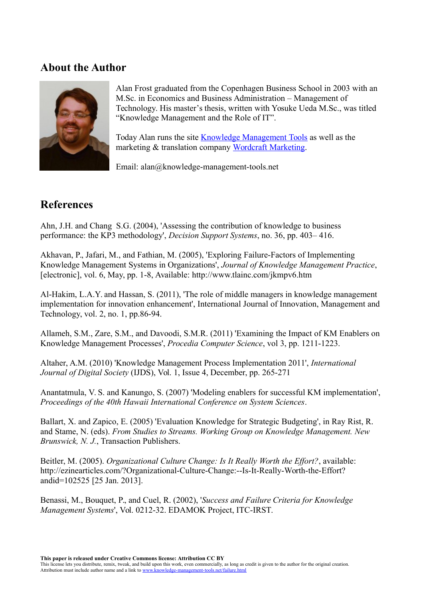### **About the Author**



Alan Frost graduated from the Copenhagen Business School in 2003 with an M.Sc. in Economics and Business Administration – Management of Technology. His master's thesis, written with Yosuke Ueda M.Sc., was titled "Knowledge Management and the Role of IT".

Today Alan runs the site [Knowledge Management Tools](http://www.knowledge-management-tools.net/) as well as the marketing & translation company [Wordcraft Marketing.](http://www.wordcraft.dk/)

Email: alan@knowledge-management-tools.net

## **References**

Ahn, J.H. and Chang S.G. (2004), 'Assessing the contribution of knowledge to business performance: the KP3 methodology', *Decision Support Systems*, no. 36, pp. 403– 416.

Akhavan, P., Jafari, M., and Fathian, M. (2005), 'Exploring Failure-Factors of Implementing Knowledge Management Systems in Organizations', *Journal of Knowledge Management Practice*, [electronic], vol. 6, May, pp. 1-8, Available: http://www.tlainc.com/jkmpv6.htm

Al-Hakim, L.A.Y. and Hassan, S. (2011), 'The role of middle managers in knowledge management implementation for innovation enhancement', International Journal of Innovation, Management and Technology, vol. 2, no. 1, pp.86-94.

Allameh, S.M., Zare, S.M., and Davoodi, S.M.R. (2011) 'Examining the Impact of KM Enablers on Knowledge Management Processes', *Procedia Computer Science*, vol 3, pp. 1211-1223.

Altaher, A.M. (2010) 'Knowledge Management Process Implementation 2011', *International Journal of Digital Society* (IJDS), Vol. 1, Issue 4, December, pp. 265-271

Anantatmula, V. S. and Kanungo, S. (2007) 'Modeling enablers for successful KM implementation', *Proceedings of the 40th Hawaii International Conference on System Sciences*.

Ballart, X. and Zapico, E. (2005) 'Evaluation Knowledge for Strategic Budgeting', in Ray Rist, R. and Stame, N. (eds). *From Studies to Streams. Working Group on Knowledge Management. New Brunswick, N. J.*, Transaction Publishers.

Beitler, M. (2005). *Organizational Culture Change: Is It Really Worth the Effort?*, available: http://ezinearticles.com/?Organizational-Culture-Change:--Is-It-Really-Worth-the-Effort? andid=102525 [25 Jan. 2013].

Benassi, M., Bouquet, P., and Cuel, R. (2002), '*Success and Failure Criteria for Knowledge Management Systems*', Vol. 0212-32. EDAMOK Project, ITC-IRST.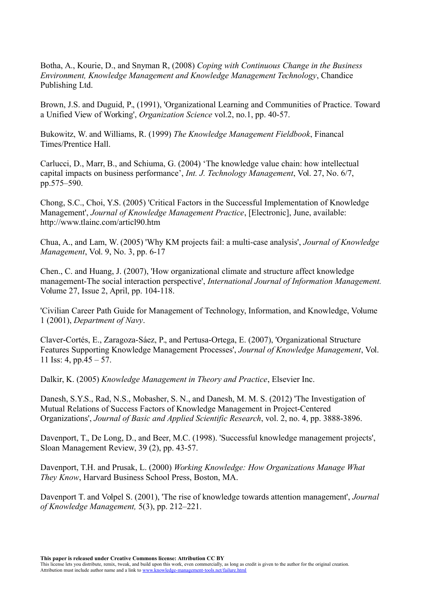Botha, A., Kourie, D., and Snyman R, (2008) *Coping with Continuous Change in the Business Environment, Knowledge Management and Knowledge Management Technology*, Chandice Publishing Ltd.

Brown, J.S. and Duguid, P., (1991), 'Organizational Learning and Communities of Practice. Toward a Unified View of Working', *Organization Science* vol.2, no.1, pp. 40-57.

Bukowitz, W. and Williams, R. (1999) *The Knowledge Management Fieldbook*, Financal Times/Prentice Hall.

Carlucci, D., Marr, B., and Schiuma, G. (2004) 'The knowledge value chain: how intellectual capital impacts on business performance', *Int. J. Technology Management*, Vol. 27, No. 6/7, pp.575–590.

Chong, S.C., Choi, Y.S. (2005) 'Critical Factors in the Successful Implementation of Knowledge Management', *Journal of Knowledge Management Practice*, [Electronic], June, available: http://www.tlainc.com/articl90.htm

Chua, A., and Lam, W. (2005) 'Why KM projects fail: a multi-case analysis', *Journal of Knowledge Management*, Vol. 9, No. 3, pp. 6-17

Chen., C. and Huang, J. (2007), 'How organizational climate and structure affect knowledge management-The social interaction perspective', *International Journal of Information Management.* Volume 27, Issue 2, April, pp. 104-118.

'Civilian Career Path Guide for Management of Technology, Information, and Knowledge, Volume 1 (2001), *Department of Navy*.

Claver-Cortés, E., Zaragoza-Sáez, P., and Pertusa-Ortega, E. (2007), 'Organizational Structure Features Supporting Knowledge Management Processes', *Journal of Knowledge Management*, Vol. 11 Iss: 4, pp. $45 - 57$ .

Dalkir, K. (2005) *Knowledge Management in Theory and Practice*, Elsevier Inc.

Danesh, S.Y.S., Rad, N.S., Mobasher, S. N., and Danesh, M. M. S. (2012) 'The Investigation of Mutual Relations of Success Factors of Knowledge Management in Project-Centered Organizations', *Journal of Basic and Applied Scientific Research*, vol. 2, no. 4, pp. 3888-3896.

Davenport, T., De Long, D., and Beer, M.C. (1998). 'Successful knowledge management projects', Sloan Management Review, 39 (2), pp. 43-57.

Davenport, T.H. and Prusak, L. (2000) *Working Knowledge: How Organizations Manage What They Know*, Harvard Business School Press, Boston, MA.

Davenport T. and Volpel S. (2001), 'The rise of knowledge towards attention management', *Journal of Knowledge Management,* 5(3), pp. 212–221.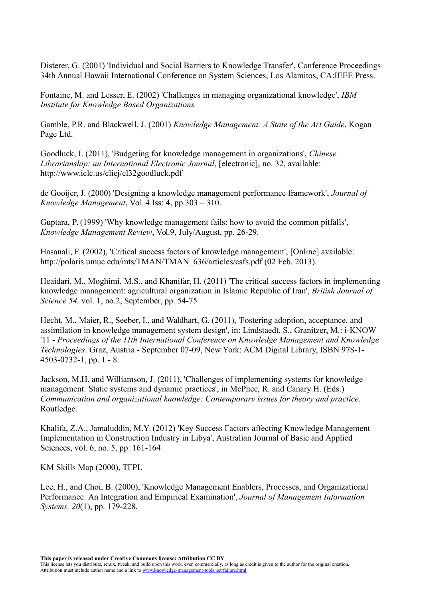Disterer, G. (2001) 'Individual and Social Barriers to Knowledge Transfer', Conference Proceedings 34th Annual Hawaii International Conference on System Sciences, Los Alamitos, CA:IEEE Press.

Fontaine, M. and Lesser, E. (2002) 'Challenges in managing organizational knowledge', *IBM Institute for Knowledge Based Organizations*

Gamble, P.R. and Blackwell, J. (2001) *Knowledge Management: A State of the Art Guide*, Kogan Page Ltd.

Goodluck, I. (2011), 'Budgeting for knowledge management in organizations', *Chinese Librarianship: an International Electronic Journal*, [electronic], no. 32, available: http://www.iclc.us/cliej/cl32goodluck.pdf

de Gooijer, J. (2000) 'Designing a knowledge management performance framework', *Journal of Knowledge Management*, Vol. 4 Iss: 4, pp.303 – 310.

Guptara, P. (1999) 'Why knowledge management fails: how to avoid the common pitfalls', *Knowledge Management Review*, Vol.9, July/August, pp. 26-29.

Hasanali, F. (2002), 'Critical success factors of knowledge management', [Online] available: http://polaris.umuc.edu/mts/TMAN/TMAN\_636/articles/csfs.pdf (02 Feb. 2013).

Heaidari, M., Moghimi, M.S., and Khanifar, H. (2011) 'The critical success factors in implementing knowledge management: agricultural organization in Islamic Republic of Iran', *British Journal of Science 54,* vol. 1, no.2, September, pp. 54-75

Hecht, M., Maier, R., Seeber, I., and Waldhart, G. (2011), 'Fostering adoption, acceptance, and assimilation in knowledge management system design', in: Lindstaedt, S., Granitzer, M.: i-KNOW '11 - *Proceedings of the 11th International Conference on Knowledge Management and Knowledge Technologies*. Graz, Austria - September 07-09, New York: ACM Digital Library, ISBN 978-1- 4503-0732-1, pp. 1 - 8.

Jackson, M.H. and Williamson, J. (2011), 'Challenges of implementing systems for knowledge management: Static systems and dynamic practices', in McPhee, R. and Canary H. (Eds.) *Communication and organizational knowledge: Contemporary issues for theory and practice*. Routledge.

Khalifa, Z.A., Jamaluddin, M.Y. (2012) 'Key Success Factors affecting Knowledge Management Implementation in Construction Industry in Libya', Australian Journal of Basic and Applied Sciences, vol. 6, no. 5, pp. 161-164

KM Skills Map (2000), TFPL

Lee, H., and Choi, B. (2000), 'Knowledge Management Enablers, Processes, and Organizational Performance: An Integration and Empirical Examination', *Journal of Management Information Systems, 20*(1), pp. 179-228.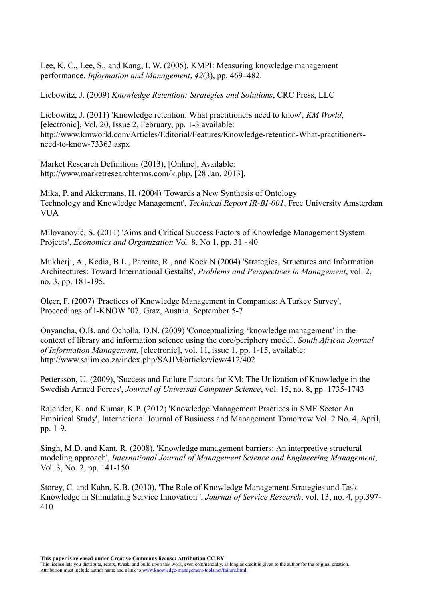Lee, K. C., Lee, S., and Kang, I. W. (2005). KMPI: Measuring knowledge management performance. *Information and Management*, *42*(3), pp. 469–482.

Liebowitz, J. (2009) *Knowledge Retention: Strategies and Solutions*, CRC Press, LLC

Liebowitz, J. (2011) 'Knowledge retention: What practitioners need to know', *KM World*, [electronic], Vol. 20, Issue 2, February, pp. 1-3 available: http://www.kmworld.com/Articles/Editorial/Features/Knowledge-retention-What-practitionersneed-to-know-73363.aspx

Market Research Definitions (2013), [Online], Available: http://www.marketresearchterms.com/k.php, [28 Jan. 2013].

Mika, P. and Akkermans, H. (2004) 'Towards a New Synthesis of Ontology Technology and Knowledge Management', *Technical Report IR-BI-001*, Free University Amsterdam **VUA** 

Milovanović, S. (2011) 'Aims and Critical Success Factors of Knowledge Management System Projects', *Economics and Organization* Vol. 8, No 1, pp. 31 - 40

Mukherji, A., Kedia, B.L., Parente, R., and Kock N (2004) 'Strategies, Structures and Information Architectures: Toward International Gestalts', *Problems and Perspectives in Management*, vol. 2, no. 3, pp. 181-195.

Ölçer, F. (2007) 'Practices of Knowledge Management in Companies: A Turkey Survey', Proceedings of I-KNOW '07, Graz, Austria, September 5-7

Onyancha, O.B. and Ocholla, D.N. (2009) 'Conceptualizing 'knowledge management' in the context of library and information science using the core/periphery model', *South African Journal of Information Management*, [electronic], vol. 11, issue 1, pp. 1-15, available: http://www.sajim.co.za/index.php/SAJIM/article/view/412/402

Pettersson, U. (2009), 'Success and Failure Factors for KM: The Utilization of Knowledge in the Swedish Armed Forces', *Journal of Universal Computer Science*, vol. 15, no. 8, pp. 1735-1743

Rajender, K. and Kumar, K.P. (2012) 'Knowledge Management Practices in SME Sector An Empirical Study', International Journal of Business and Management Tomorrow Vol. 2 No. 4, April, pp. 1-9.

Singh, M.D. and Kant, R. (2008), 'Knowledge management barriers: An interpretive structural modeling approach', *International Journal of Management Science and Engineering Management*, Vol. 3, No. 2, pp. 141-150

Storey, C. and Kahn, K.B. (2010), 'The Role of Knowledge Management Strategies and Task Knowledge in Stimulating Service Innovation ', *Journal of Service Research*, vol. 13, no. 4, pp.397- 410